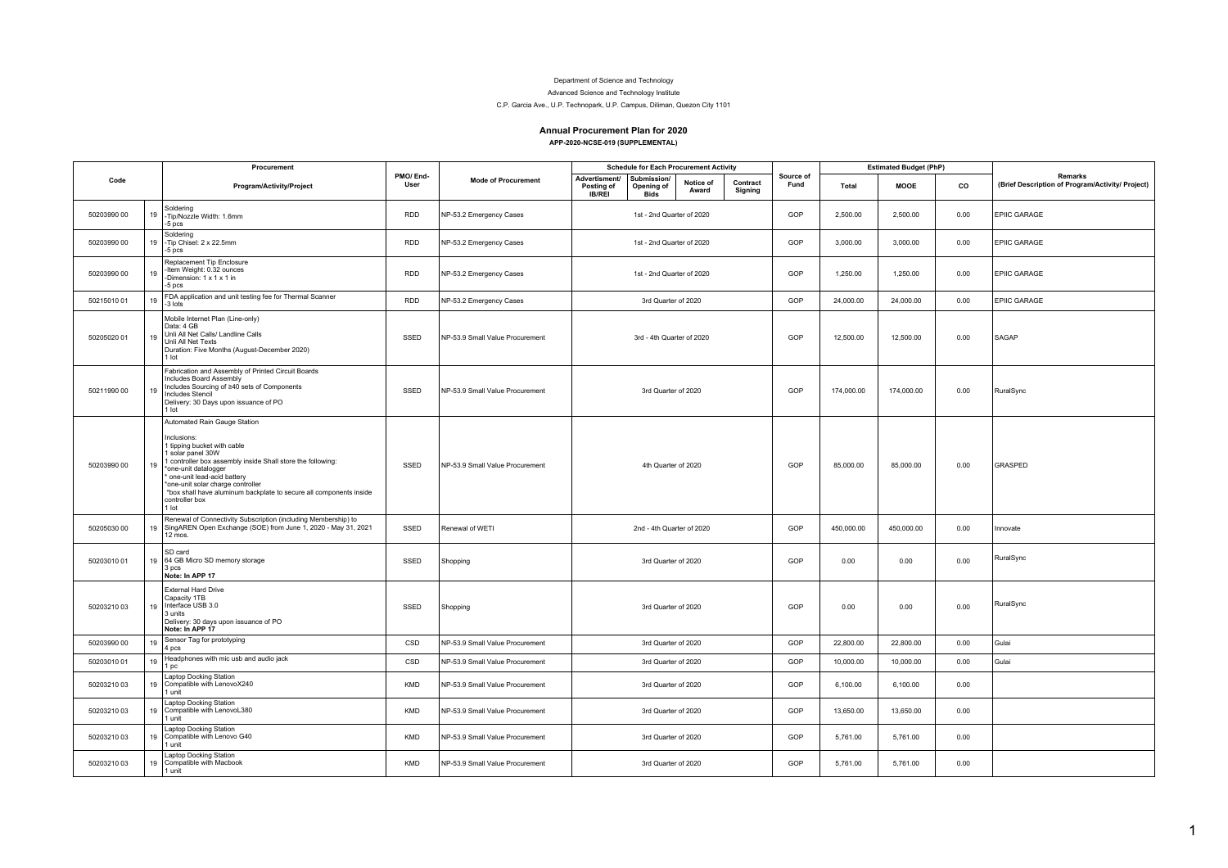## Department of Science and Technology

Advanced Science and Technology Institute

C.P. Garcia Ave., U.P. Technopark, U.P. Campus, Diliman, Quezon City 1101

## **Annual Procurement Plan for 2020 APP-2020-NCSE-019 (SUPPLEMENTAL)**

|             |    | Procurement                                                                                                                                                                                                                                                                                                                                         |                  |                                 | <b>Schedule for Each Procurement Activity</b>              |                                          |                    |                     | <b>Estimated Budget (PhP)</b> |            |             |      |                                                             |
|-------------|----|-----------------------------------------------------------------------------------------------------------------------------------------------------------------------------------------------------------------------------------------------------------------------------------------------------------------------------------------------------|------------------|---------------------------------|------------------------------------------------------------|------------------------------------------|--------------------|---------------------|-------------------------------|------------|-------------|------|-------------------------------------------------------------|
| Code        |    | Program/Activity/Project                                                                                                                                                                                                                                                                                                                            | PMO/End-<br>User | <b>Mode of Procurement</b>      | <b>Advertisment/</b><br><b>Posting of</b><br><b>IB/REI</b> | Submission/<br>Opening of<br><b>Bids</b> | Notice of<br>Award | Contract<br>Signing | Source of<br>Fund             | Total      | <b>MOOE</b> | co   | Remarks<br>(Brief Description of Program/Activity/ Project) |
| 50203990 00 | 19 | Soldering<br>Tip/Nozzle Width: 1.6mm<br>$-5$ pcs                                                                                                                                                                                                                                                                                                    | <b>RDD</b>       | NP-53.2 Emergency Cases         |                                                            | 1st - 2nd Quarter of 2020                |                    |                     | GOP                           | 2,500.00   | 2.500.00    | 0.00 | <b>EPIIC GARAGE</b>                                         |
| 50203990 00 | 19 | Soldering<br>Tip Chisel: 2 x 22.5mm<br>$-5$ pcs                                                                                                                                                                                                                                                                                                     | <b>RDD</b>       | NP-53.2 Emergency Cases         |                                                            | 1st - 2nd Quarter of 2020                |                    |                     | GOP                           | 3,000.00   | 3,000.00    | 0.00 | EPIIC GARAGE                                                |
| 50203990 00 | 19 | Replacement Tip Enclosure<br>Item Weight: 0.32 ounces<br>-Dimension: $1 \times 1 \times 1$ in<br>5 pcs                                                                                                                                                                                                                                              | <b>RDD</b>       | NP-53.2 Emergency Cases         |                                                            | 1st - 2nd Quarter of 2020                |                    |                     | GOP                           | 1,250.00   | 1,250.00    | 0.00 | <b>EPIIC GARAGE</b>                                         |
| 5021501001  | 19 | FDA application and unit testing fee for Thermal Scanner<br>-3 lots                                                                                                                                                                                                                                                                                 | <b>RDD</b>       | NP-53.2 Emergency Cases         |                                                            | 3rd Quarter of 2020                      |                    |                     | GOP                           | 24,000.00  | 24,000.00   | 0.00 | EPIIC GARAGE                                                |
| 50205020 01 | 19 | Mobile Internet Plan (Line-only)<br>Data: 4 GB<br>Unli All Net Calls/ Landline Calls<br>Unli All Net Texts<br>Duration: Five Months (August-December 2020)<br>1 lot                                                                                                                                                                                 | SSED             | NP-53.9 Small Value Procurement |                                                            | 3rd - 4th Quarter of 2020                |                    |                     | GOP                           | 12,500.00  | 12,500.00   | 0.00 | SAGAP                                                       |
| 50211990 00 | 19 | Fabrication and Assembly of Printed Circuit Boards<br>Includes Board Assembly<br>Includes Sourcing of ≥40 <sup>'</sup> sets of Components<br><b>Includes Stencil</b><br>Delivery: 30 Days upon issuance of PO<br>lot                                                                                                                                | SSED             | NP-53.9 Small Value Procurement |                                                            | 3rd Quarter of 2020                      |                    |                     | GOP                           | 174.000.00 | 174.000.00  | 0.00 | RuralSync                                                   |
| 50203990 00 | 19 | Automated Rain Gauge Station<br>nclusions:<br>I tipping bucket with cable<br>solar panel 30W<br>controller box assembly inside Shall store the following:<br>one-unit datalogger<br>one-unit lead-acid battery<br>one-unit solar charge controller<br>*box shall have aluminum backplate to secure all components inside<br>controller box<br>1 lot | SSED             | NP-53.9 Small Value Procurement |                                                            | 4th Quarter of 2020                      |                    |                     | GOP                           | 85.000.00  | 85,000.00   | 0.00 | <b>GRASPED</b>                                              |
| 50205030 00 | 19 | Renewal of Connectivity Subscription (including Membership) to<br>SingAREN Open Exchange (SOE) from June 1, 2020 - May 31, 2021<br>12 mos.                                                                                                                                                                                                          | SSED             | Renewal of WETI                 |                                                            | 2nd - 4th Quarter of 2020                |                    |                     | GOP                           | 450,000.00 | 450,000.00  | 0.00 | Innovate                                                    |
| 50203010 01 |    | SD card<br>19 64 GB Micro SD memory storage<br>3 pcs<br>Note: In APP 17                                                                                                                                                                                                                                                                             | SSED             | Shopping                        |                                                            | 3rd Quarter of 2020                      |                    |                     | GOP                           | 0.00       | 0.00        | 0.00 | RuralSync                                                   |
| 5020321003  | 19 | External Hard Drive<br>Capacity 1TB<br>Interface USB 3.0<br>3 units<br>Delivery: 30 days upon issuance of PO<br>Note: In APP 17                                                                                                                                                                                                                     | SSED             | Shopping                        |                                                            | 3rd Quarter of 2020                      |                    |                     | GOP                           | 0.00       | 0.00        | 0.00 | RuralSync                                                   |
| 50203990 00 | 19 | Sensor Tag for prototyping<br>4 pcs                                                                                                                                                                                                                                                                                                                 | CSD              | NP-53.9 Small Value Procurement |                                                            | 3rd Quarter of 2020                      |                    |                     | GOP                           | 22,800.00  | 22,800.00   | 0.00 | Gulai                                                       |
| 50203010 01 | 19 | Headphones with mic usb and audio jack<br>pc                                                                                                                                                                                                                                                                                                        | CSD              | NP-53.9 Small Value Procurement |                                                            | 3rd Quarter of 2020                      |                    |                     | GOP                           | 10.000.00  | 10,000.00   | 0.00 | Gulai                                                       |
| 5020321003  |    | Laptop Docking Station<br>19 Compatible with LenovoX240<br>1 unit                                                                                                                                                                                                                                                                                   | KMD              | NP-53.9 Small Value Procurement |                                                            | 3rd Quarter of 2020                      |                    |                     | GOP                           | 6,100.00   | 6,100.00    | 0.00 |                                                             |
| 5020321003  | 19 | Laptop Docking Station<br>Compatible with LenovoL380<br>1 unit                                                                                                                                                                                                                                                                                      | KMD              | NP-53.9 Small Value Procurement |                                                            | 3rd Quarter of 2020                      |                    |                     | GOP                           | 13,650.00  | 13,650.00   | 0.00 |                                                             |
| 5020321003  | 19 | <b>Laptop Docking Station</b><br>Compatible with Lenovo G40<br>unit                                                                                                                                                                                                                                                                                 | <b>KMD</b>       | NP-53.9 Small Value Procurement |                                                            | 3rd Quarter of 2020                      |                    |                     | GOP                           | 5.761.00   | 5.761.00    | 0.00 |                                                             |
| 50203210 03 | 19 | Laptop Docking Station<br>Compatible with Macbook<br>l unit                                                                                                                                                                                                                                                                                         | <b>KMD</b>       | NP-53.9 Small Value Procurement |                                                            | 3rd Quarter of 2020                      |                    |                     | GOP                           | 5,761.00   | 5,761.00    | 0.00 |                                                             |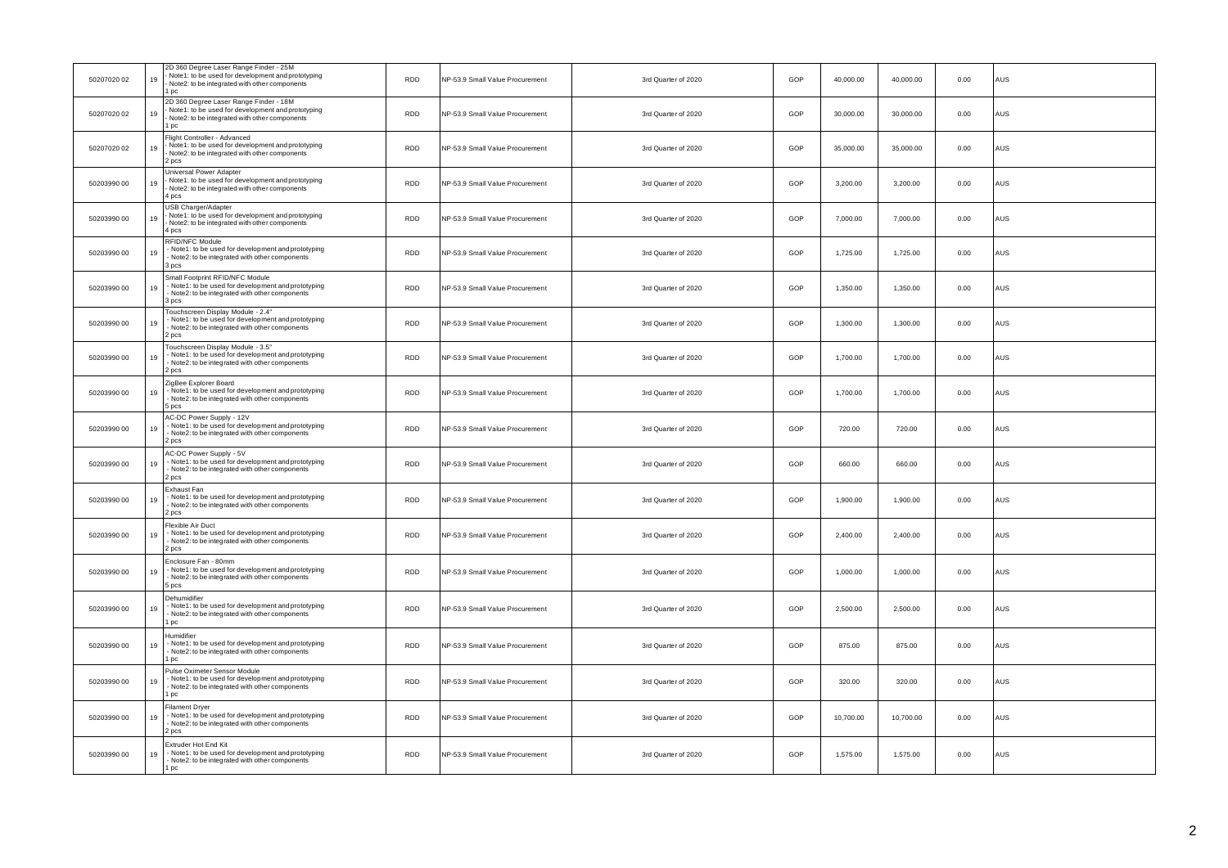| 50207020 02 | 19 | 2D 360 Degree Laser Range Finder - 25M<br>Note1: to be used for development and prototyping<br>Note2: to be integrated with other components<br>1 pc | <b>RDD</b> | NP-53.9 Small Value Procurement | 3rd Quarter of 2020 | GOP | 40,000.00 | 40,000.00 | 0.00 | AUS        |
|-------------|----|------------------------------------------------------------------------------------------------------------------------------------------------------|------------|---------------------------------|---------------------|-----|-----------|-----------|------|------------|
| 50207020 02 | 19 | 2D 360 Degree Laser Range Finder - 18M<br>Note1: to be used for development and prototyping<br>Note2: to be integrated with other components<br>1 pc | <b>RDD</b> | NP-53.9 Small Value Procurement | 3rd Quarter of 2020 | GOP | 30,000.00 | 30,000,00 | 0.00 | AUS        |
| 50207020 02 | 19 | Flight Controller - Advanced<br>Note1: to be used for development and prototyping<br>Note2: to be integrated with other components<br>2 pcs          | <b>RDD</b> | NP-53.9 Small Value Procurement | 3rd Quarter of 2020 | GOP | 35,000.00 | 35,000.00 | 0.00 | AUS        |
| 50203990 00 | 19 | Universal Power Adapter<br>Note1: to be used for development and prototyping<br>Note2: to be integrated with other components<br>4 pcs               | <b>RDD</b> | NP-53.9 Small Value Procurement | 3rd Quarter of 2020 | GOP | 3,200.00  | 3,200.00  | 0.00 | AUS        |
| 50203990 00 | 19 | USB Charger/Adapter<br>Note1: to be used for development and prototyping<br>Note2: to be integrated with other components<br>4 pcs                   | <b>RDD</b> | NP-53.9 Small Value Procurement | 3rd Quarter of 2020 | GOP | 7,000.00  | 7,000.00  | 0.00 | AUS        |
| 50203990 00 | 19 | RFID/NFC Module<br>Note1: to be used for development and prototyping<br>Note2: to be integrated with other components<br>3 pcs                       | <b>RDD</b> | NP-53.9 Small Value Procurement | 3rd Quarter of 2020 | GOP | 1,725.00  | 1,725.00  | 0.00 | AUS        |
| 50203990 00 | 19 | Small Footprint RFID/NFC Module<br>Note 1: to be used for development and prototyping<br>- Note2: to be integrated with other components<br>3 pcs    | RDD        | NP-53.9 Small Value Procurement | 3rd Quarter of 2020 | GOP | 1,350.00  | 1,350.00  | 0.00 | AUS        |
| 50203990 00 | 19 | Touchscreen Display Module - 2.4"<br>- Note1: to be used for development and prototyping<br>Note2: to be integrated with other components<br>2 pcs   | <b>RDD</b> | NP-53.9 Small Value Procurement | 3rd Quarter of 2020 | GOP | 1.300.00  | 1.300.00  | 0.00 | AUS        |
| 50203990 00 | 19 | Touchscreen Display Module - 3.5"<br>Note1: to be used for development and prototyping<br>Note2: to be integrated with other components<br>2 pcs     | <b>RDD</b> | NP-53.9 Small Value Procurement | 3rd Quarter of 2020 | GOP | 1,700.00  | 1,700.00  | 0.00 | AUS        |
| 50203990 00 | 19 | ZigBee Explorer Board<br>Note1: to be used for development and prototyping<br>Note2: to be integrated with other components<br>5 pcs                 | <b>RDD</b> | NP-53.9 Small Value Procurement | 3rd Quarter of 2020 | GOP | 1,700.00  | 1,700.00  | 0.00 | AUS        |
| 50203990 00 | 19 | AC-DC Power Supply - 12V<br>Note1: to be used for development and prototyping<br>Note2: to be integrated with other components<br>bcs                | <b>RDD</b> | NP-53.9 Small Value Procurement | 3rd Quarter of 2020 | GOP | 720.00    | 720.00    | 0.00 | AUS        |
| 50203990 00 | 19 | <b>AC-DC Power Supply - 5V</b><br>Note1: to be used for development and prototyping<br>Note2: to be integrated with other components<br>2 pcs        | <b>RDD</b> | NP-53.9 Small Value Procurement | 3rd Quarter of 2020 | GOP | 660.00    | 660.00    | 0.00 | AUS        |
| 50203990 00 | 19 | Exhaust Fan<br>- Note1: to be used for development and prototyping<br>Note2: to be integrated with other components<br>2 pcs                         | RDD        | NP-53.9 Small Value Procurement | 3rd Quarter of 2020 | GOP | 1,900.00  | 1,900.00  | 0.00 | AUS        |
| 50203990 00 | 19 | Flexible Air Duct<br>Note1: to be used for development and prototyping<br>Note2: to be integrated with other components<br>2 pcs                     | <b>RDD</b> | NP-53.9 Small Value Procurement | 3rd Quarter of 2020 | GOP | 2,400.00  | 2,400.00  | 0.00 | AUS        |
| 50203990 00 | 19 | Enclosure Fan - 80mm<br>Note1: to be used for development and prototyping<br>- Note2: to be integrated with other components<br>5 pcs                | <b>RDD</b> | NP-53.9 Small Value Procurement | 3rd Quarter of 2020 | GOP | 1,000.00  | 1,000.00  | 0.00 | AUS        |
| 50203990 00 | 19 | Dehumidifier<br>- Note1: to be used for development and prototyping<br>Note2: to be integrated with other components<br>pc                           | <b>RDD</b> | NP-53.9 Small Value Procurement | 3rd Quarter of 2020 | GOP | 2.500.00  | 2.500.00  | 0.00 | AUS        |
| 50203990 00 | 19 | Humidifier<br>- Note1: to be used for development and prototyping<br>Note2: to be integrated with other components<br>1 nc.                          | RDD        | NP-53.9 Small Value Procurement | 3rd Quarter of 2020 | GOP | 875.00    | 875.00    | 0.00 | AUS        |
| 50203990 00 | 19 | Pulse Oximeter Sensor Module<br>Note1: to be used for development and prototyping<br>Note2: to be integrated with other components<br>DC             | <b>RDD</b> | NP-53.9 Small Value Procurement | 3rd Quarter of 2020 | GOP | 320.00    | 320.00    | 0.00 | AUS        |
| 50203990 00 | 19 | Filament Dryer<br>- Note1: to be used for development and prototyping<br>Note2: to be integrated with other components<br>2 pcs                      | <b>RDD</b> | NP-53.9 Small Value Procurement | 3rd Quarter of 2020 | GOP | 10,700.00 | 10,700.00 | 0.00 | <b>AUS</b> |
| 50203990 00 | 19 | <b>Extruder Hot End Kit</b><br>Note1: to be used for development and prototyping<br>Note2: to be integrated with other components<br>1 <sub>pc</sub> | <b>RDD</b> | NP-53.9 Small Value Procurement | 3rd Quarter of 2020 | GOP | 1,575.00  | 1,575.00  | 0.00 | AUS        |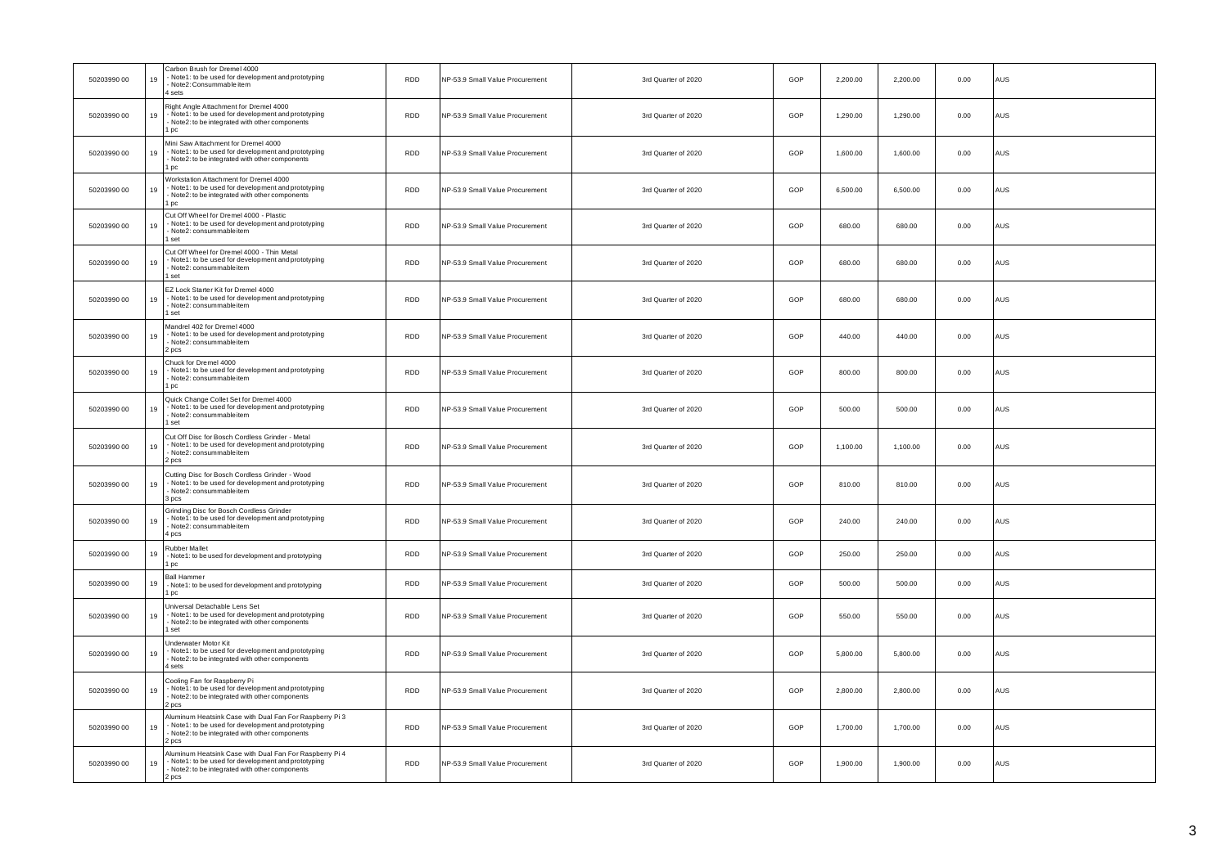| 50203990 00 | 19 | Carbon Brush for Dremel 4000<br>Note1: to be used for development and prototyping<br>Note2: Consummable item<br>sets                                                 | <b>RDD</b> | NP-53.9 Small Value Procurement | 3rd Quarter of 2020 | GOP | 2,200.00 | 2,200.00 | 0.00 | AUS |
|-------------|----|----------------------------------------------------------------------------------------------------------------------------------------------------------------------|------------|---------------------------------|---------------------|-----|----------|----------|------|-----|
| 50203990 00 | 19 | Right Angle Attachment for Dremel 4000<br>Note1: to be used for development and prototyping<br>Note2: to be integrated with other components<br>DC                   | <b>RDD</b> | NP-53.9 Small Value Procurement | 3rd Quarter of 2020 | GOP | 1,290.00 | 1,290.00 | 0.00 | AUS |
| 50203990 00 | 19 | Mini Saw Attachment for Dremel 4000<br>- Note 1: to be used for development and prototyping<br>Note2: to be integrated with other components<br>pc                   | <b>RDD</b> | NP-53.9 Small Value Procurement | 3rd Quarter of 2020 | GOP | 1,600.00 | 1,600.00 | 0.00 | AUS |
| 50203990 00 | 19 | Workstation Attachment for Dremel 4000<br>Note1: to be used for development and prototyping<br>Note2: to be integrated with other components<br>pc                   | <b>RDD</b> | NP-53.9 Small Value Procurement | 3rd Quarter of 2020 | GOP | 6,500.00 | 6,500.00 | 0.00 | AUS |
| 50203990 00 | 19 | Cut Off Wheel for Dremel 4000 - Plastic<br>- Note1: to be used for development and prototyping<br>Note2: consummableitem<br>set                                      | <b>RDD</b> | NP-53.9 Small Value Procurement | 3rd Quarter of 2020 | GOP | 680.00   | 680.00   | 0.00 | AUS |
| 50203990 00 | 19 | Cut Off Wheel for Dremel 4000 - Thin Metal<br>Note1: to be used for development and prototyping<br>Note2: consummableitem<br>set                                     | <b>RDD</b> | NP-53.9 Small Value Procurement | 3rd Quarter of 2020 | GOP | 680.00   | 680.00   | 0.00 | AUS |
| 50203990 00 | 19 | EZ Lock Starter Kit for Dremel 4000<br>Note1: to be used for development and prototyping<br>Note2: consummableitem<br>set                                            | <b>RDD</b> | NP-53.9 Small Value Procurement | 3rd Quarter of 2020 | GOP | 680.00   | 680.00   | 0.00 | AUS |
| 50203990 00 | 19 | Mandrel 402 for Dremel 4000<br>- Note1: to be used for development and prototyping<br>Note2: consummableitem<br>pcs                                                  | <b>RDD</b> | NP-53.9 Small Value Procurement | 3rd Quarter of 2020 | GOP | 440.00   | 440.00   | 0.00 | AUS |
| 50203990 00 | 19 | Chuck for Dremel 4000<br>Note1: to be used for development and prototyping<br>Note2: consummableitem<br>DC                                                           | <b>RDD</b> | NP-53.9 Small Value Procurement | 3rd Quarter of 2020 | GOP | 800.00   | 800.00   | 0.00 | AUS |
| 50203990 00 | 19 | Quick Change Collet Set for Dremel 4000<br>Note1: to be used for development and prototyping<br>Note2: consummableitem<br>set                                        | <b>RDD</b> | NP-53.9 Small Value Procurement | 3rd Quarter of 2020 | GOP | 500.00   | 500.00   | 0.00 | AUS |
| 50203990 00 | 19 | Cut Off Disc for Bosch Cordless Grinder - Metal<br>Note1: to be used for development and prototyping<br>Note2: consummableitem<br>pcs                                | RDD        | NP-53.9 Small Value Procurement | 3rd Quarter of 2020 | GOP | 1,100.00 | 1,100.00 | 0.00 | AUS |
| 50203990 00 | 19 | Cutting Disc for Bosch Cordless Grinder - Wood<br>Note1: to be used for development and prototyping<br>Note2: consummableitem<br>pcs                                 | <b>RDD</b> | NP-53.9 Small Value Procurement | 3rd Quarter of 2020 | GOP | 810.00   | 810.00   | 0.00 | AUS |
| 50203990 00 | 19 | Grinding Disc for Bosch Cordless Grinder<br>Note 1: to be used for development and prototyping<br>Note2: consummableitem<br>4 pcs                                    | <b>RDD</b> | NP-53.9 Small Value Procurement | 3rd Quarter of 2020 | GOP | 240.00   | 240.00   | 0.00 | AUS |
| 50203990 00 | 19 | Rubber Mallet<br>- Note1: to be used for development and prototyping<br><b>DC</b>                                                                                    | <b>RDD</b> | NP-53.9 Small Value Procurement | 3rd Quarter of 2020 | GOP | 250.00   | 250.00   | 0.00 | AUS |
| 50203990 00 | 19 | <b>Ball Hammer</b><br>- Note1: to be used for development and prototyping<br><b>DC</b>                                                                               | <b>RDD</b> | NP-53.9 Small Value Procurement | 3rd Quarter of 2020 | GOP | 500.00   | 500.00   | 0.00 | AUS |
| 50203990 00 | 19 | Universal Detachable Lens Set<br>Note1: to be used for development and prototyping<br>Note2: to be integrated with other components<br>set                           | <b>RDD</b> | NP-53.9 Small Value Procurement | 3rd Quarter of 2020 | GOP | 550.00   | 550.00   | 0.00 | AUS |
| 50203990 00 | 19 | Jnderwater Motor Kit<br>Note1: to be used for development and prototyping<br>Note2: to be integrated with other components<br>sets                                   | <b>RDD</b> | NP-53.9 Small Value Procurement | 3rd Quarter of 2020 | GOP | 5,800.00 | 5,800.00 | 0.00 | AUS |
| 50203990 00 | 19 | Cooling Fan for Raspberry Pi<br>- Note 1: to be used for development and prototyping<br>Note2: to be integrated with other components<br>2 pcs                       | <b>RDD</b> | NP-53.9 Small Value Procurement | 3rd Quarter of 2020 | GOP | 2,800.00 | 2,800.00 | 0.00 | AUS |
| 50203990 00 | 19 | Aluminum Heatsink Case with Dual Fan For Raspberry Pi 3<br>Note1: to be used for development and prototyping<br>Note2: to be integrated with other components<br>pcs | RDD        | NP-53.9 Small Value Procurement | 3rd Quarter of 2020 | GOP | 1,700.00 | 1,700.00 | 0.00 | AUS |
| 50203990 00 | 19 | Aluminum Heatsink Case with Dual Fan For Raspberry Pi 4<br>Note1: to be used for development and prototyping<br>Note2: to be integrated with other components<br>pcs | RDD        | NP-53.9 Small Value Procurement | 3rd Quarter of 2020 | GOP | 1,900.00 | 1,900.00 | 0.00 | AUS |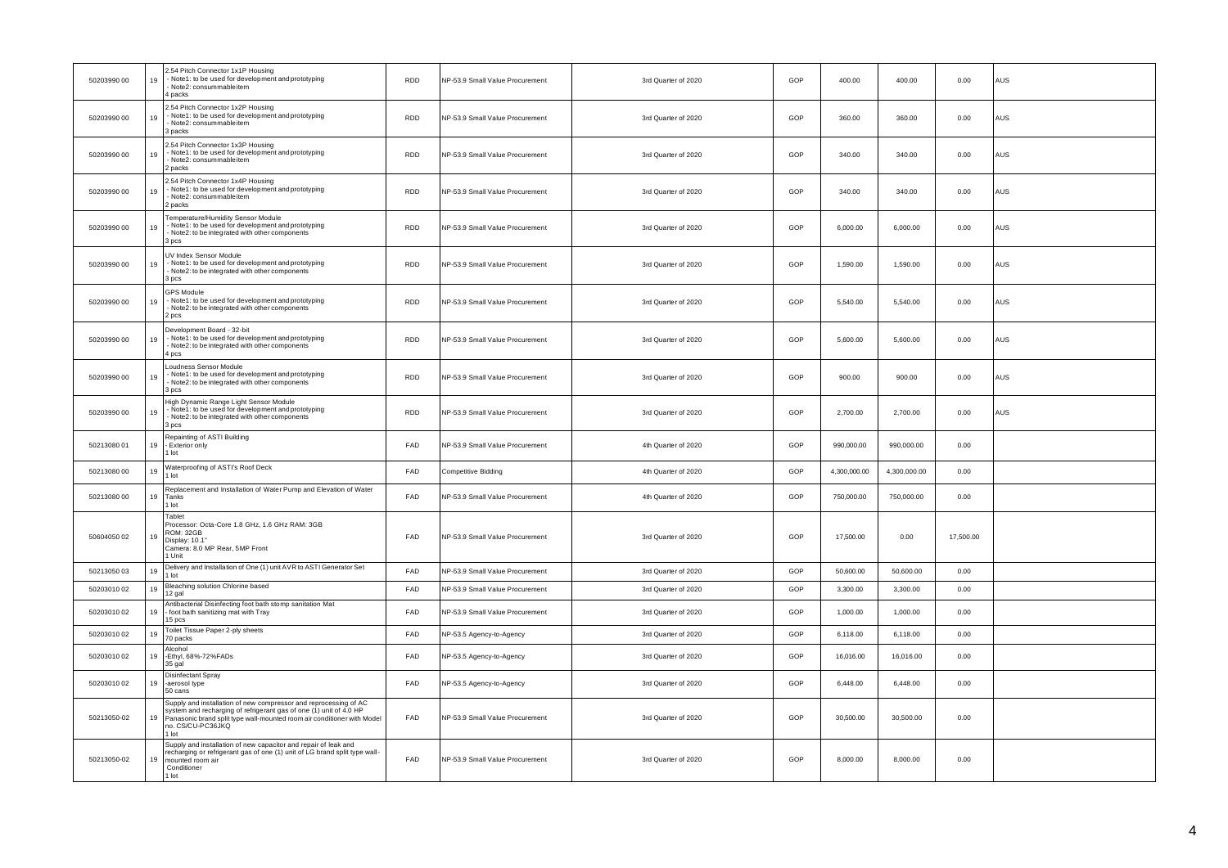| 50203990 00 | 19 | .54 Pitch Connector 1x1P Housing<br>Note1: to be used for development and prototyping<br>Note2: consummableitem<br>packs                                                                                                                       | <b>RDD</b> | NP-53.9 Small Value Procurement | 3rd Quarter of 2020 | GOP | 400.00       | 400.00       | 0.00      | <b>AUS</b> |
|-------------|----|------------------------------------------------------------------------------------------------------------------------------------------------------------------------------------------------------------------------------------------------|------------|---------------------------------|---------------------|-----|--------------|--------------|-----------|------------|
| 50203990 00 | 19 | .54 Pitch Connector 1x2P Housing<br>Note1: to be used for development and prototyping<br>Note2: consummableitem<br>backs                                                                                                                       | RDD        | NP-53.9 Small Value Procurement | 3rd Quarter of 2020 | GOP | 360.00       | 360.00       | 0.00      | AUS        |
| 50203990 00 | 19 | .54 Pitch Connector 1x3P Housing<br>Note1: to be used for development and prototyping<br>- Note2: consummableitem<br>packs                                                                                                                     | <b>RDD</b> | NP-53.9 Small Value Procurement | 3rd Quarter of 2020 | GOP | 340.00       | 340.00       | 0.00      | AUS        |
| 50203990 00 | 19 | .54 Pitch Connector 1x4P Housing<br>Note1: to be used for development and prototyping<br>Note2: consummableitem<br>backs                                                                                                                       | <b>RDD</b> | NP-53.9 Small Value Procurement | 3rd Quarter of 2020 | GOP | 340.00       | 340.00       | 0.00      | AUS        |
| 50203990 00 | 19 | Femperature/Humidity Sensor Module<br>Note1: to be used for development and prototyping<br>Note2: to be integrated with other components<br>3 pcs                                                                                              | <b>RDD</b> | NP-53.9 Small Value Procurement | 3rd Quarter of 2020 | GOP | 6,000.00     | 6,000.00     | 0.00      | AUS        |
| 50203990 00 | 19 | UV Index Sensor Module<br>Note1: to be used for development and prototyping<br>Note2: to be integrated with other components<br>pcs                                                                                                            | <b>RDD</b> | NP-53.9 Small Value Procurement | 3rd Quarter of 2020 | GOP | 1,590.00     | 1,590.00     | 0.00      | AUS        |
| 50203990 00 | 19 | <b>GPS Module</b><br>Note1: to be used for development and prototyping<br>Note2: to be integrated with other components<br>pcs                                                                                                                 | <b>RDD</b> | NP-53.9 Small Value Procurement | 3rd Quarter of 2020 | GOP | 5,540.00     | 5,540.00     | 0.00      | AUS        |
| 50203990 00 | 19 | Development Board - 32-bit<br>- Note1: to be used for development and prototyping<br>Note2: to be integrated with other components<br>pcs                                                                                                      | <b>RDD</b> | NP-53.9 Small Value Procurement | 3rd Quarter of 2020 | GOP | 5,600.00     | 5,600.00     | 0.00      | AUS        |
| 50203990 00 | 19 | Loudness Sensor Module<br>Note1: to be used for development and prototyping<br>Note2: to be integrated with other components<br>bcs                                                                                                            | <b>RDD</b> | NP-53.9 Small Value Procurement | 3rd Quarter of 2020 | GOP | 900.00       | 900.00       | 0.00      | AUS        |
| 50203990 00 | 19 | High Dynamic Range Light Sensor Module<br>Note1: to be used for development and prototyping<br>Note2: to be integrated with other components<br>3 pcs                                                                                          | <b>RDD</b> | NP-53.9 Small Value Procurement | 3rd Quarter of 2020 | GOP | 2,700.00     | 2,700.00     | 0.00      | AUS        |
| 50213080 01 | 19 | Repainting of ASTI Building<br>- Exterior only<br>lot                                                                                                                                                                                          | FAD        | NP-53.9 Small Value Procurement | 4th Quarter of 2020 | GOP | 990,000.00   | 990,000.00   | 0.00      |            |
| 50213080 00 | 19 | Waterproofing of ASTI's Roof Deck<br>$1$ lot                                                                                                                                                                                                   | FAD        | Competitive Bidding             | 4th Quarter of 2020 | GOP | 4,300,000.00 | 4,300,000.00 | 0.00      |            |
| 50213080 00 |    | Replacement and Installation of Water Pump and Elevation of Water<br>19 Tanks<br>1 lot                                                                                                                                                         | FAD        | NP-53.9 Small Value Procurement | 4th Quarter of 2020 | GOP | 750,000.00   | 750,000.00   | 0.00      |            |
| 50604050 02 | 19 | Tablet<br>Processor: Octa-Core 1.8 GHz, 1.6 GHz RAM: 3GB<br>ROM: 32GB<br>Display: 10.1"<br>Camera: 8.0 MP Rear, 5MP Front<br>1 Unit                                                                                                            | FAD        | NP-53.9 Small Value Procurement | 3rd Quarter of 2020 | GOP | 17,500.00    | 0.00         | 17,500.00 |            |
| 5021305003  | 19 | Delivery and Installation of One (1) unit AVR to ASTI Generator Set<br>1 lot                                                                                                                                                                   | FAD        | NP-53.9 Small Value Procurement | 3rd Quarter of 2020 | GOP | 50,600.00    | 50,600.00    | 0.00      |            |
| 50203010 02 | 19 | Bleaching solution Chlorine based<br>12 gal                                                                                                                                                                                                    | FAD        | NP-53.9 Small Value Procurement | 3rd Quarter of 2020 | GOP | 3,300.00     | 3,300.00     | 0.00      |            |
| 5020301002  | 19 | Antibacterial Disinfecting foot bath stomp sanitation Mat<br>- foot bath sanitizing mat with Tray<br>15 pcs                                                                                                                                    | FAD        | NP-53.9 Small Value Procurement | 3rd Quarter of 2020 | GOP | 1.000.00     | 1.000.00     | 0.00      |            |
| 50203010 02 | 19 | Toilet Tissue Paper 2-ply sheets<br>70 packs                                                                                                                                                                                                   | FAD        | NP-53.5 Agency-to-Agency        | 3rd Quarter of 2020 | GOP | 6,118.00     | 6,118.00     | 0.00      |            |
| 50203010 02 | 19 | Alcohol<br>-Ethyl, 68%-72%FADs<br>35 gal                                                                                                                                                                                                       | FAD        | NP-53.5 Agency-to-Agency        | 3rd Quarter of 2020 | GOP | 16,016.00    | 16,016.00    | 0.00      |            |
| 50203010 02 |    | Disinfectant Spray<br>19 -aerosol type<br>50 cans                                                                                                                                                                                              | FAD        | NP-53.5 Agency-to-Agency        | 3rd Quarter of 2020 | GOP | 6,448.00     | 6,448.00     | 0.00      |            |
| 50213050-02 | 19 | Supply and installation of new compressor and reprocessing of AC<br>ystem and recharging of refrigerant gas of one (1) unit of 4.0 HP<br>Panasonic brand split type wall-mounted room air conditioner with Model<br>no. CS/CU-PC36JKQ<br>I lot | FAD        | NP-53.9 Small Value Procurement | 3rd Quarter of 2020 | GOP | 30,500.00    | 30,500.00    | 0.00      |            |
| 50213050-02 | 19 | Supply and installation of new capacitor and repair of leak and<br>recharging or refrigerant gas of one (1) unit of LG brand split type wall-<br>mounted room air<br>Conditioner<br>lot                                                        | FAD        | NP-53.9 Small Value Procurement | 3rd Quarter of 2020 | GOP | 8,000.00     | 8,000.00     | 0.00      |            |